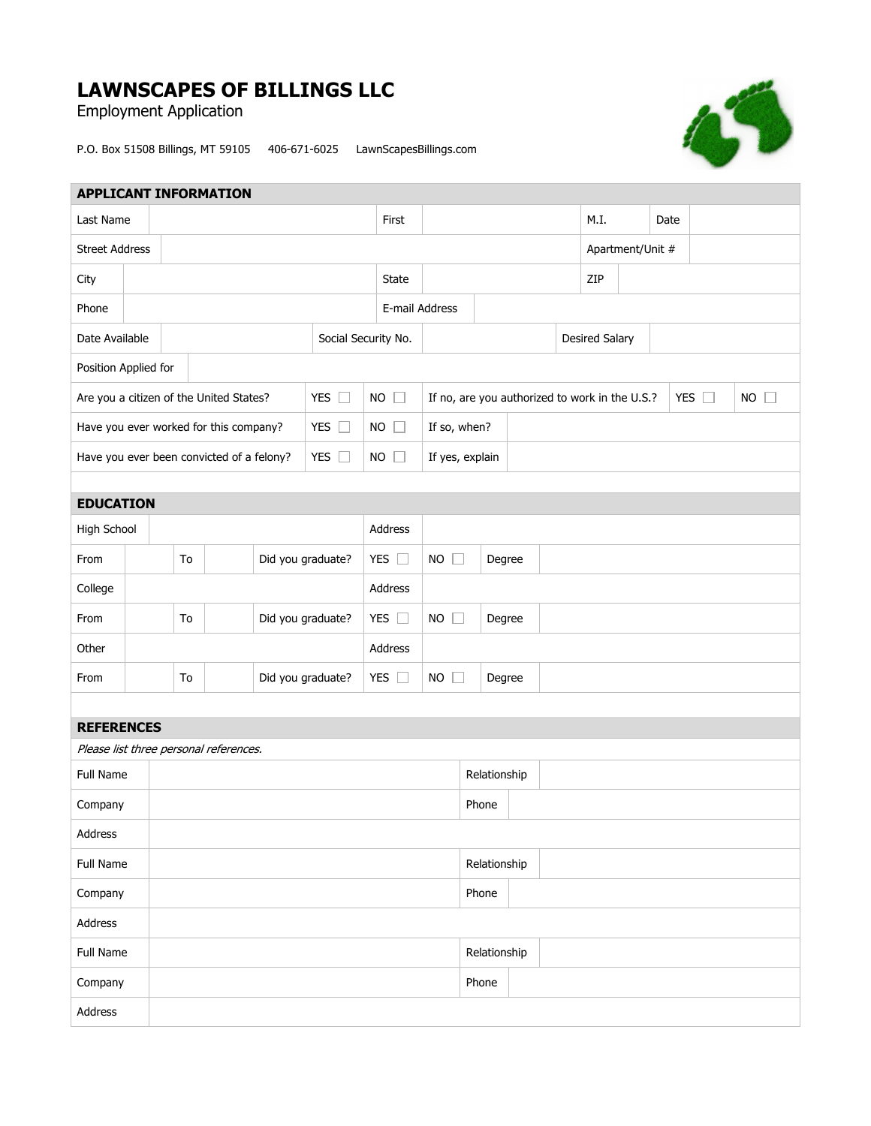## **LAWNSCAPES OF BILLINGS LLC**

Employment Application

P.O. Box 51508 Billings, MT 59105 406-671-6025 LawnScapesBillings.com



| <b>APPLICANT INFORMATION</b>              |                                         |                         |                                        |               |                     |                               |                                                |             |              |                       |       |                  |  |               |             |  |  |  |
|-------------------------------------------|-----------------------------------------|-------------------------|----------------------------------------|---------------|---------------------|-------------------------------|------------------------------------------------|-------------|--------------|-----------------------|-------|------------------|--|---------------|-------------|--|--|--|
| Last Name                                 |                                         |                         |                                        |               |                     |                               |                                                | First       |              |                       |       | M.I.             |  | Date          |             |  |  |  |
| <b>Street Address</b>                     |                                         |                         |                                        |               |                     |                               |                                                |             |              |                       |       | Apartment/Unit # |  |               |             |  |  |  |
| City                                      |                                         |                         |                                        |               | State               |                               |                                                | ZIP         |              |                       |       |                  |  |               |             |  |  |  |
| Phone                                     |                                         |                         |                                        |               |                     | E-mail Address                |                                                |             |              |                       |       |                  |  |               |             |  |  |  |
| Date Available                            |                                         |                         |                                        |               | Social Security No. |                               |                                                |             |              | <b>Desired Salary</b> |       |                  |  |               |             |  |  |  |
| Position Applied for                      |                                         |                         |                                        |               |                     |                               |                                                |             |              |                       |       |                  |  |               |             |  |  |  |
|                                           | Are you a citizen of the United States? |                         |                                        | YES $\square$ |                     | $NO$ $\Box$                   | If no, are you authorized to work in the U.S.? |             |              |                       |       |                  |  | YES $\square$ | $NO$ $\Box$ |  |  |  |
|                                           |                                         |                         | Have you ever worked for this company? |               |                     | YES $\square$                 |                                                | $NO$ $\Box$ | If so, when? |                       |       |                  |  |               |             |  |  |  |
| Have you ever been convicted of a felony? |                                         |                         | YES $\square$                          | <b>NO</b>     | $\Box$              | If yes, explain               |                                                |             |              |                       |       |                  |  |               |             |  |  |  |
|                                           |                                         |                         |                                        |               |                     |                               |                                                |             |              |                       |       |                  |  |               |             |  |  |  |
| <b>EDUCATION</b>                          |                                         |                         |                                        |               |                     |                               |                                                |             |              |                       |       |                  |  |               |             |  |  |  |
| High School                               |                                         |                         |                                        |               |                     | Address                       |                                                |             |              |                       |       |                  |  |               |             |  |  |  |
| From                                      | To<br>Did you graduate?                 |                         |                                        |               | YES $\square$       | <b>NO</b><br>$\Box$<br>Degree |                                                |             |              |                       |       |                  |  |               |             |  |  |  |
| College                                   |                                         |                         |                                        |               |                     |                               | Address                                        |             |              |                       |       |                  |  |               |             |  |  |  |
| From                                      | Did you graduate?<br>To                 |                         |                                        |               | YES $\square$       | <b>NO</b><br>$\Box$<br>Degree |                                                |             |              |                       |       |                  |  |               |             |  |  |  |
| Other                                     |                                         |                         |                                        |               | Address             |                               |                                                |             |              |                       |       |                  |  |               |             |  |  |  |
| From                                      |                                         | Did you graduate?<br>To |                                        |               |                     | YES $\square$                 | <b>NO</b><br>$\Box$<br>Degree                  |             |              |                       |       |                  |  |               |             |  |  |  |
|                                           |                                         |                         |                                        |               |                     |                               |                                                |             |              |                       |       |                  |  |               |             |  |  |  |
| <b>REFERENCES</b>                         |                                         |                         |                                        |               |                     |                               |                                                |             |              |                       |       |                  |  |               |             |  |  |  |
| Please list three personal references.    |                                         |                         |                                        |               |                     |                               |                                                |             |              |                       |       |                  |  |               |             |  |  |  |
| Full Name                                 |                                         |                         |                                        |               |                     |                               |                                                |             |              | Relationship          |       |                  |  |               |             |  |  |  |
| Company                                   |                                         |                         |                                        |               |                     |                               |                                                |             |              |                       | Phone |                  |  |               |             |  |  |  |
| Address                                   |                                         |                         |                                        |               |                     |                               |                                                |             |              |                       |       |                  |  |               |             |  |  |  |
| Full Name                                 |                                         |                         |                                        |               |                     | Relationship                  |                                                |             |              |                       |       |                  |  |               |             |  |  |  |
| Company                                   |                                         |                         |                                        |               |                     |                               |                                                |             |              | Phone                 |       |                  |  |               |             |  |  |  |
| Address                                   |                                         |                         |                                        |               |                     |                               |                                                |             |              |                       |       |                  |  |               |             |  |  |  |
| Full Name                                 |                                         |                         |                                        | Relationship  |                     |                               |                                                |             |              |                       |       |                  |  |               |             |  |  |  |
| Company                                   |                                         |                         |                                        |               |                     |                               |                                                |             |              | Phone                 |       |                  |  |               |             |  |  |  |
| Address                                   |                                         |                         |                                        |               |                     |                               |                                                |             |              |                       |       |                  |  |               |             |  |  |  |